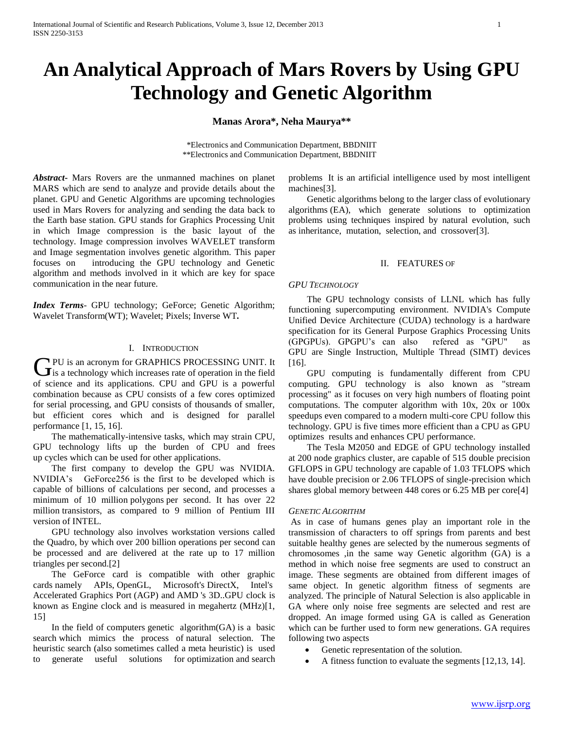# **An Analytical Approach of Mars Rovers by Using GPU Technology and Genetic Algorithm**

## **Manas Arora\*, Neha Maurya\*\***

\*Electronics and Communication Department, BBDNIIT \*\*Electronics and Communication Department, BBDNIIT

*Abstract***-** Mars Rovers are the unmanned machines on planet MARS which are send to analyze and provide details about the planet. GPU and Genetic Algorithms are upcoming technologies used in Mars Rovers for analyzing and sending the data back to the Earth base station. GPU stands for Graphics Processing Unit in which Image compression is the basic layout of the technology. Image compression involves WAVELET transform and Image segmentation involves genetic algorithm. This paper focuses on introducing the GPU technology and Genetic algorithm and methods involved in it which are key for space communication in the near future.

*Index Terms*- GPU technology; GeForce; Genetic Algorithm; Wavelet Transform(WT); Wavelet; Pixels; Inverse WT*.*

## I. INTRODUCTION

PU is an acronym for GRAPHICS PROCESSING UNIT. It **C**PU is an acronym for GRAPHICS PROCESSING UNIT. It is a technology which increases rate of operation in the field of science and its applications. CPU and GPU is a powerful combination because as CPU consists of a few cores optimized for serial processing, and GPU consists of thousands of smaller, but efficient cores which and is designed for parallel performance [1, 15, 16].

 The mathematically-intensive tasks, which may strain CPU, GPU technology lifts up the burden of CPU and frees up cycles which can be used for other applications.

 The first company to develop the GPU was NVIDIA. NVIDIA's GeForce256 is the first to be developed which is capable of billions of calculations per second, and processes a minimum of 10 million polygons per second. It has over 22 million transistors, as compared to 9 million of Pentium III version of INTEL.

 GPU technology also involves workstation versions called the Quadro, by which over 200 billion operations per second can be processed and are delivered at the rate up to 17 million triangles per second.[2]

 The GeForce card is compatible with other graphic cards namely APIs, OpenGL, Microsoft's DirectX, Intel's Accelerated Graphics Port (AGP) and AMD 's 3D..GPU clock is known as Engine clock and is measured in megahertz (MHz)[1, 15]

 In the field of computers genetic algorithm(GA) is a basic search which mimics the process of natural selection. The heuristic search (also sometimes called a meta heuristic) is used generate useful solutions for optimization and search problems It is an artificial intelligence used by most intelligent machines[3].

 Genetic algorithms belong to the larger class of evolutionary algorithms (EA), which generate solutions to optimization problems using techniques inspired by natural evolution, such as inheritance, mutation, selection, and crossover[3].

#### II. FEATURES OF

### *GPU TECHNOLOGY*

 The GPU technology consists of LLNL which has fully functioning supercomputing environment. NVIDIA's Compute Unified Device Architecture (CUDA) technology is a hardware specification for its General Purpose Graphics Processing Units (GPGPUs). GPGPU's can also refered as "GPU" as GPU are Single Instruction, Multiple Thread (SIMT) devices [16].

 GPU computing is fundamentally different from CPU computing. GPU technology is also known as "stream processing" as it focuses on very high numbers of floating point computations. The computer algorithm with 10x, 20x or 100x speedups even compared to a modern multi-core CPU follow this technology. GPU is five times more efficient than a CPU as GPU optimizes results and enhances CPU performance.

 The Tesla M2050 and EDGE of GPU technology installed at 200 node graphics cluster, are capable of 515 double precision GFLOPS in GPU technology are capable of 1.03 TFLOPS which have double precision or 2.06 TFLOPS of single-precision which shares global memory between 448 cores or 6.25 MB per core[4]

#### *GENETIC ALGORITHM*

As in case of humans genes play an important role in the transmission of characters to off springs from parents and best suitable healthy genes are selected by the numerous segments of chromosomes ,in the same way Genetic algorithm (GA) is a method in which noise free segments are used to construct an image. These segments are obtained from different images of same object. In genetic algorithm fitness of segments are analyzed. The principle of Natural Selection is also applicable in GA where only noise free segments are selected and rest are dropped. An image formed using GA is called as Generation which can be further used to form new generations. GA requires following two aspects

- Genetic representation of the solution.
- A fitness function to evaluate the segments [12,13, 14].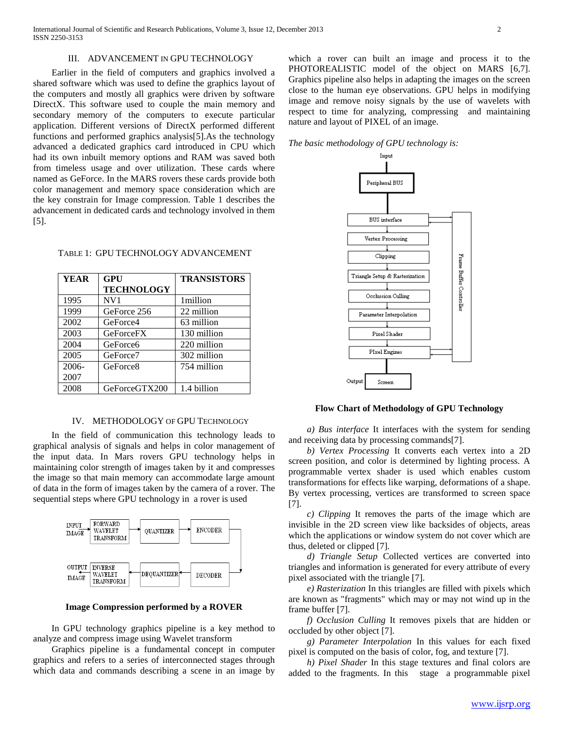## III. ADVANCEMENT IN GPU TECHNOLOGY

 Earlier in the field of computers and graphics involved a shared software which was used to define the graphics layout of the computers and mostly all graphics were driven by software DirectX. This software used to couple the main memory and secondary memory of the computers to execute particular application. Different versions of DirectX performed different functions and performed graphics analysis[5].As the technology advanced a dedicated graphics card introduced in CPU which had its own inbuilt memory options and RAM was saved both from timeless usage and over utilization. These cards where named as GeForce. In the MARS rovers these cards provide both color management and memory space consideration which are the key constrain for Image compression. Table 1 describes the advancement in dedicated cards and technology involved in them [5].

| <b>YEAR</b> | GPU                  | <b>TRANSISTORS</b> |
|-------------|----------------------|--------------------|
|             | <b>TECHNOLOGY</b>    |                    |
| 1995        | NVI                  | 1million           |
| 1999        | GeForce 256          | 22 million         |
| 2002        | GeForce4             | 63 million         |
| 2003        | <b>GeForceFX</b>     | 130 million        |
| 2004        | GeForce <sub>6</sub> | 220 million        |
| 2005        | GeForce7             | 302 million        |
| 2006-       | GeForce <sub>8</sub> | 754 million        |
| 2007        |                      |                    |
| 2008        | GeForceGTX200        | 1.4 billion        |

## TABLE 1: GPU TECHNOLOGY ADVANCEMENT

## IV. METHODOLOGY OF GPU TECHNOLOGY

 In the field of communication this technology leads to graphical analysis of signals and helps in color management of the input data. In Mars rovers GPU technology helps in maintaining color strength of images taken by it and compresses the image so that main memory can accommodate large amount of data in the form of images taken by the camera of a rover. The sequential steps where GPU technology in a rover is used



#### **Image Compression performed by a ROVER**

 In GPU technology graphics pipeline is a key method to analyze and compress image using Wavelet transform

 Graphics pipeline is a fundamental concept in computer graphics and refers to a series of interconnected stages through which data and commands describing a scene in an image by

which a rover can built an image and process it to the PHOTOREALISTIC model of the object on MARS [6,7]. Graphics pipeline also helps in adapting the images on the screen close to the human eye observations. GPU helps in modifying image and remove noisy signals by the use of wavelets with respect to time for analyzing, compressing and maintaining nature and layout of PIXEL of an image.

*The basic methodology of GPU technology is:*



#### **Flow Chart of Methodology of GPU Technology**

 *a) Bus interface* It interfaces with the system for sending and receiving data by processing commands[7].

 *b) Vertex Processing* It converts each vertex into a 2D screen position, and color is determined by lighting process. A programmable vertex shader is used which enables custom transformations for effects like warping, deformations of a shape. By vertex processing, vertices are transformed to screen space [7].

 *c) Clipping* It removes the parts of the image which are invisible in the 2D screen view like backsides of objects, areas which the applications or window system do not cover which are thus, deleted or clipped [7].

 *d) Triangle Setup* Collected vertices are converted into triangles and information is generated for every attribute of every pixel associated with the triangle [7].

 *e) Rasterization* In this triangles are filled with pixels which are known as "fragments" which may or may not wind up in the frame buffer [7].

 *f) Occlusion Culling* It removes pixels that are hidden or occluded by other object [7].

 *g) Parameter Interpolation* In this values for each fixed pixel is computed on the basis of color, fog, and texture [7].

 *h) Pixel Shader* In this stage textures and final colors are added to the fragments. In this stage a programmable pixel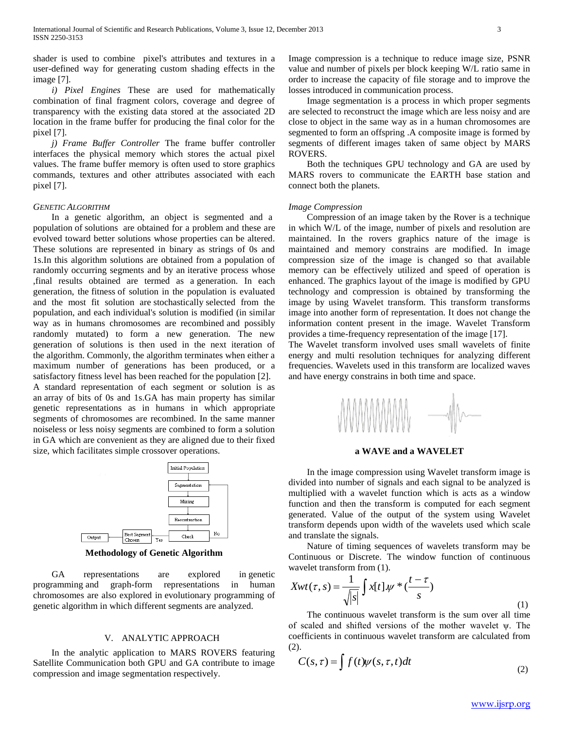shader is used to combine pixel's attributes and textures in a user-defined way for generating custom shading effects in the image [7].

 *i) Pixel Engines* These are used for mathematically combination of final fragment colors, coverage and degree of transparency with the existing data stored at the associated 2D location in the frame buffer for producing the final color for the pixel [7].

 *j) Frame Buffer Controller* The frame buffer controller interfaces the physical memory which stores the actual pixel values. The frame buffer memory is often used to store graphics commands, textures and other attributes associated with each pixel [7].

#### *GENETIC ALGORITHM*

 In a genetic algorithm, an object is segmented and a population of solutions are obtained for a problem and these are evolved toward better solutions whose properties can be altered. These solutions are represented in binary as strings of 0s and 1s.In this algorithm solutions are obtained from a population of randomly occurring segments and by an iterative process whose ,final results obtained are termed as a generation. In each generation, the fitness of solution in the population is evaluated and the most fit solution are stochastically selected from the population, and each individual's solution is modified (in similar way as in humans chromosomes are recombined and possibly randomly mutated) to form a new generation. The new generation of solutions is then used in the next iteration of the algorithm. Commonly, the algorithm terminates when either a maximum number of generations has been produced, or a satisfactory fitness level has been reached for the population [2]. A standard representation of each segment or solution is as an array of bits of 0s and 1s.GA has main property has similar genetic representations as in humans in which appropriate segments of chromosomes are recombined. In the same manner noiseless or less noisy segments are combined to form a solution in GA which are convenient as they are aligned due to their fixed size, which facilitates simple crossover operations.



**Methodology of Genetic Algorithm**

 GA representations are explored in genetic programming and graph-form representations in human chromosomes are also explored in evolutionary programming of genetic algorithm in which different segments are analyzed.

## V. ANALYTIC APPROACH

 In the analytic application to MARS ROVERS featuring Satellite Communication both GPU and GA contribute to image compression and image segmentation respectively*.*

Image compression is a technique to reduce image size, PSNR value and number of pixels per block keeping W/L ratio same in order to increase the capacity of file storage and to improve the losses introduced in communication process.

 Image segmentation is a process in which proper segments are selected to reconstruct the image which are less noisy and are close to object in the same way as in a human chromosomes are segmented to form an offspring .A composite image is formed by segments of different images taken of same object by MARS ROVERS.

 Both the techniques GPU technology and GA are used by MARS rovers to communicate the EARTH base station and connect both the planets.

#### *Image Compression*

 Compression of an image taken by the Rover is a technique in which W/L of the image, number of pixels and resolution are maintained. In the rovers graphics nature of the image is maintained and memory constrains are modified. In image compression size of the image is changed so that available memory can be effectively utilized and speed of operation is enhanced. The graphics layout of the image is modified by GPU technology and compression is obtained by transforming the image by using Wavelet transform. This transform transforms image into another form of representation. It does not change the information content present in the image. Wavelet Transform provides a time-frequency representation of the image [17].

The Wavelet transform involved uses small wavelets of finite energy and multi resolution techniques for analyzing different frequencies. Wavelets used in this transform are localized waves and have energy constrains in both time and space.



## **a WAVE and a WAVELET**

 In the image compression using Wavelet transform image is divided into number of signals and each signal to be analyzed is multiplied with a wavelet function which is acts as a window function and then the transform is computed for each segment generated. Value of the output of the system using Wavelet transform depends upon width of the wavelets used which scale and translate the signals.

 Nature of timing sequences of wavelets transform may be Continuous or Discrete. The window function of continuous wavelet transform from (1).

$$
Xwt(\tau,s) = \frac{1}{\sqrt{|s|}} \int x[t] \cdot \psi * (\frac{t-\tau}{s})
$$
\n(1)

 The continuous wavelet transform is the sum over all time of scaled and shifted versions of the mother wavelet ψ. The coefficients in continuous wavelet transform are calculated from (2).

$$
C(s,\tau) = \int f(t)\psi(s,\tau,t)dt
$$
\n(2)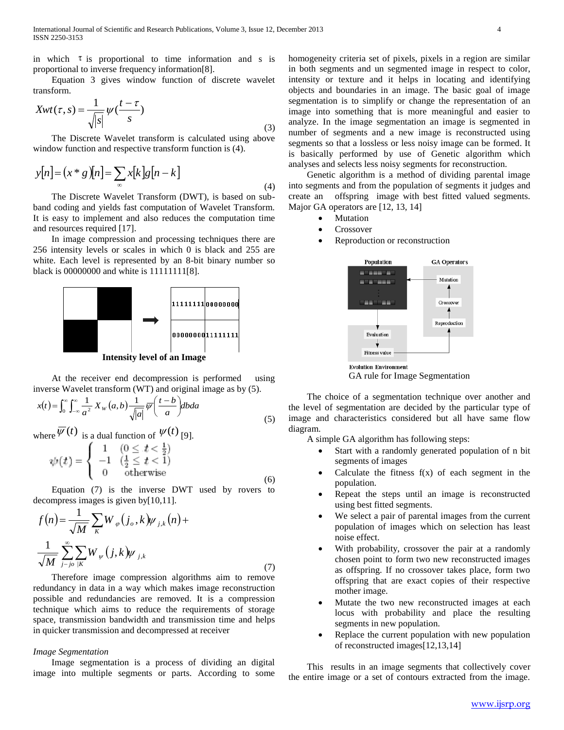in which  $\tau$  is proportional to time information and s is proportional to inverse frequency information[8].

 Equation 3 gives window function of discrete wavelet transform.

$$
Xwt(\tau,s) = \frac{1}{\sqrt{|s|}} \psi(\frac{t-\tau}{s})
$$
\n(3)

 The Discrete Wavelet transform is calculated using above window function and respective transform function is (4).

$$
y[n] = (x * g)[n] = \sum_{\infty} x[k]g[n-k]
$$
\n<sup>(4)</sup>

 The Discrete Wavelet Transform (DWT), is based on subband coding and yields fast computation of Wavelet Transform. It is easy to implement and also reduces the computation time and resources required [17].

 In image compression and processing techniques there are 256 intensity levels or scales in which 0 is black and 255 are white. Each level is represented by an 8-bit binary number so black is 00000000 and white is 11111111[8].



**Intensity level of an Image**

 At the receiver end decompression is performed using inverse Wavelet transform (WT) and original image as by (5).

$$
x(t) = \int_0^\infty \int_{-\infty}^\infty \frac{1}{a^2} X_w(a, b) \frac{1}{\sqrt{|a|}} \overline{\psi} \left( \frac{t - b}{a} \right) db da
$$
\n
$$
= \sum_{n=0}^\infty \frac{1}{n^2} \overline{X}_n(a, b) \frac{1}{\sqrt{|a|}} \overline{\psi} \left( \frac{t - b}{a} \right) db da
$$
\n
$$
(5)
$$

where 
$$
\overline{\Psi}(t)
$$
 is a dual function of  $\Psi(t)$  [9].  
\n
$$
\psi(t) = \begin{cases}\n1 & (0 \leq t < \frac{1}{2}) \\
-1 & (\frac{1}{2} \leq t < 1) \\
0 & \text{otherwise}\n\end{cases}
$$
\n(6)

 Equation (7) is the inverse DWT used by rovers to decompress images is given by[10,11].

$$
f(n) = \frac{1}{\sqrt{M}} \sum_{k} W_{\varphi}(j_{o}, k) \psi_{j,k}(n) + \frac{1}{\sqrt{M}} \sum_{j-j_{o} \in K}^{\infty} W_{\psi}(j, k) \psi_{j,k}
$$
\n(7)

 Therefore image compression algorithms aim to remove redundancy in data in a way which makes image reconstruction possible and redundancies are removed. It is a compression technique which aims to reduce the requirements of storage space, transmission bandwidth and transmission time and helps in quicker transmission and decompressed at receiver

### *Image Segmentation*

 Image segmentation is a process of dividing an digital image into multiple segments or parts. According to some homogeneity criteria set of pixels, pixels in a region are similar in both segments and un segmented image in respect to color, intensity or texture and it helps in locating and identifying objects and boundaries in an image. The basic goal of image segmentation is to simplify or change the representation of an image into something that is more meaningful and easier to analyze. In the image segmentation an image is segmented in number of segments and a new image is reconstructed using segments so that a lossless or less noisy image can be formed. It is basically performed by use of Genetic algorithm which analyses and selects less noisy segments for reconstruction.

 Genetic algorithm is a method of dividing parental image into segments and from the population of segments it judges and create an offspring image with best fitted valued segments. Major GA operators are [12, 13, 14]

- Mutation
- Crossover
- Reproduction or reconstruction



GA rule for Image Segmentation

 The choice of a segmentation technique over another and the level of segmentation are decided by the particular type of image and characteristics considered but all have same flow diagram.

A simple GA algorithm has following steps:

- Start with a randomly generated population of n bit segments of images
- Calculate the fitness  $f(x)$  of each segment in the population.
- Repeat the steps until an image is reconstructed using best fitted segments.
- We select a pair of parental images from the current population of images which on selection has least noise effect.
- With probability, crossover the pair at a randomly chosen point to form two new reconstructed images as offspring. If no crossover takes place, form two offspring that are exact copies of their respective mother image.
- Mutate the two new reconstructed images at each locus with probability and place the resulting segments in new population.
- Replace the current population with new population of reconstructed images[12,13,14]

 This results in an image segments that collectively cover the entire image or a set of contours extracted from the image.